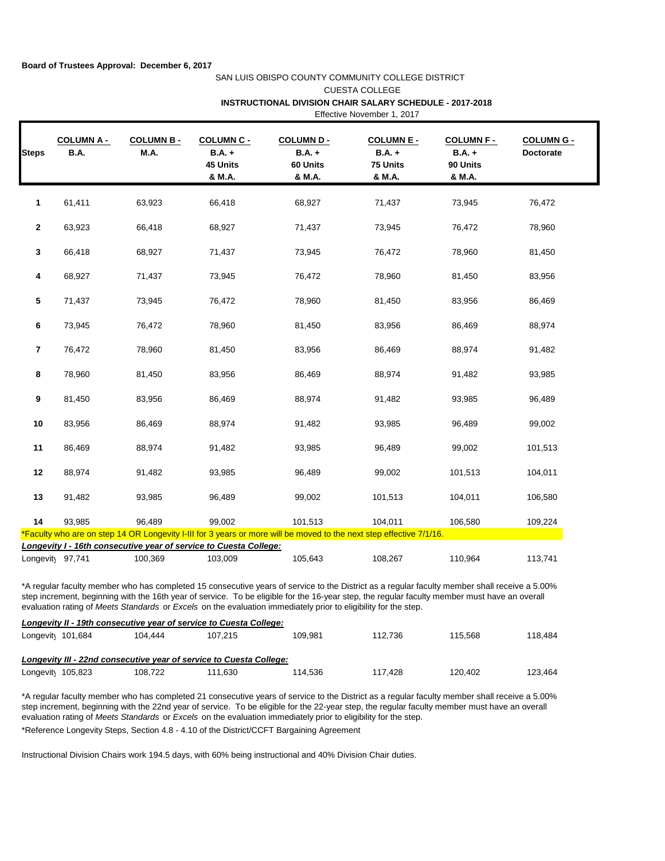## SAN LUIS OBISPO COUNTY COMMUNITY COLLEGE DISTRICT CUESTA COLLEGE Effective November 1, 2017  **INSTRUCTIONAL DIVISION CHAIR SALARY SCHEDULE - 2017-2018**

| <b>COLUMN A -</b><br>B.A. | <b>COLUMN B-</b><br><b>M.A.</b> | <b>COLUMN C -</b><br>$B.A. +$<br>45 Units<br>& M.A. | <b>COLUMN D-</b><br>$B.A. +$<br>60 Units<br>& M.A. | <b>COLUMN E -</b><br>$B.A. +$<br>75 Units<br>& M.A.                          | <b>COLUMN F-</b><br>$B.A. +$<br>90 Units<br>& M.A. | <b>COLUMN G -</b><br><b>Doctorate</b>                                                                                          |
|---------------------------|---------------------------------|-----------------------------------------------------|----------------------------------------------------|------------------------------------------------------------------------------|----------------------------------------------------|--------------------------------------------------------------------------------------------------------------------------------|
| 61,411                    | 63,923                          | 66,418                                              | 68,927                                             | 71,437                                                                       | 73,945                                             | 76,472                                                                                                                         |
| 63,923                    | 66,418                          | 68,927                                              | 71,437                                             | 73,945                                                                       | 76,472                                             | 78,960                                                                                                                         |
| 66,418                    | 68,927                          | 71,437                                              | 73,945                                             | 76,472                                                                       | 78,960                                             | 81,450                                                                                                                         |
| 68,927                    | 71,437                          | 73,945                                              | 76,472                                             | 78,960                                                                       | 81,450                                             | 83,956                                                                                                                         |
| 71,437                    | 73,945                          | 76,472                                              | 78,960                                             | 81,450                                                                       | 83,956                                             | 86,469                                                                                                                         |
| 73,945                    | 76,472                          | 78,960                                              | 81,450                                             | 83,956                                                                       | 86,469                                             | 88,974                                                                                                                         |
| 76,472                    | 78,960                          | 81,450                                              | 83,956                                             | 86,469                                                                       | 88,974                                             | 91,482                                                                                                                         |
| 78,960                    | 81,450                          | 83,956                                              | 86,469                                             | 88,974                                                                       | 91,482                                             | 93,985                                                                                                                         |
| 81,450                    | 83,956                          | 86,469                                              | 88,974                                             | 91,482                                                                       | 93,985                                             | 96,489                                                                                                                         |
| 83,956                    | 86,469                          | 88,974                                              | 91,482                                             | 93,985                                                                       | 96,489                                             | 99,002                                                                                                                         |
| 86,469                    | 88,974                          | 91,482                                              | 93,985                                             | 96,489                                                                       | 99,002                                             | 101,513                                                                                                                        |
| 88,974                    | 91,482                          | 93,985                                              | 96,489                                             | 99,002                                                                       | 101,513                                            | 104,011                                                                                                                        |
| 91,482                    | 93,985                          | 96,489                                              | 99,002                                             | 101,513                                                                      | 104,011                                            | 106,580                                                                                                                        |
| 93.985                    | 96,489                          | 99,002                                              | 101,513                                            | 104,011                                                                      | 106,580                                            | 109,224                                                                                                                        |
|                           |                                 |                                                     |                                                    |                                                                              |                                                    |                                                                                                                                |
|                           |                                 |                                                     |                                                    |                                                                              |                                                    | 113,741                                                                                                                        |
|                           | Longevity 97,741                | 100,369                                             | 103,009                                            | Longevity I - 16th consecutive year of service to Cuesta College:<br>105,643 | 108,267                                            | *Faculty who are on step 14 OR Longevity I-III for 3 years or more will be moved to the next step effective 7/1/16.<br>110,964 |

\*A regular faculty member who has completed 15 consecutive years of service to the District as a regular faculty member shall receive a 5.00% step increment, beginning with the 16th year of service. To be eligible for the 16-year step, the regular faculty member must have an overall evaluation rating of *Meets Standards* or *Excels* on the evaluation immediately prior to eligibility for the step.

| Longevity II - 19th consecutive year of service to Cuesta College:  |         |         |         |         |         |         |
|---------------------------------------------------------------------|---------|---------|---------|---------|---------|---------|
| Longevity 101,684                                                   | 104.444 | 107.215 | 109.981 | 112.736 | 115.568 | 118.484 |
| Longevity III - 22nd consecutive year of service to Cuesta College: |         |         |         |         |         |         |
| Longevity 105,823                                                   | 108.722 | 111.630 | 114.536 | 117.428 | 120.402 | 123.464 |

\*Reference Longevity Steps, Section 4.8 - 4.10 of the District/CCFT Bargaining Agreement \*A regular faculty member who has completed 21 consecutive years of service to the District as a regular faculty member shall receive a 5.00% step increment, beginning with the 22nd year of service. To be eligible for the 22-year step, the regular faculty member must have an overall evaluation rating of *Meets Standards* or *Excels* on the evaluation immediately prior to eligibility for the step.

Instructional Division Chairs work 194.5 days, with 60% being instructional and 40% Division Chair duties.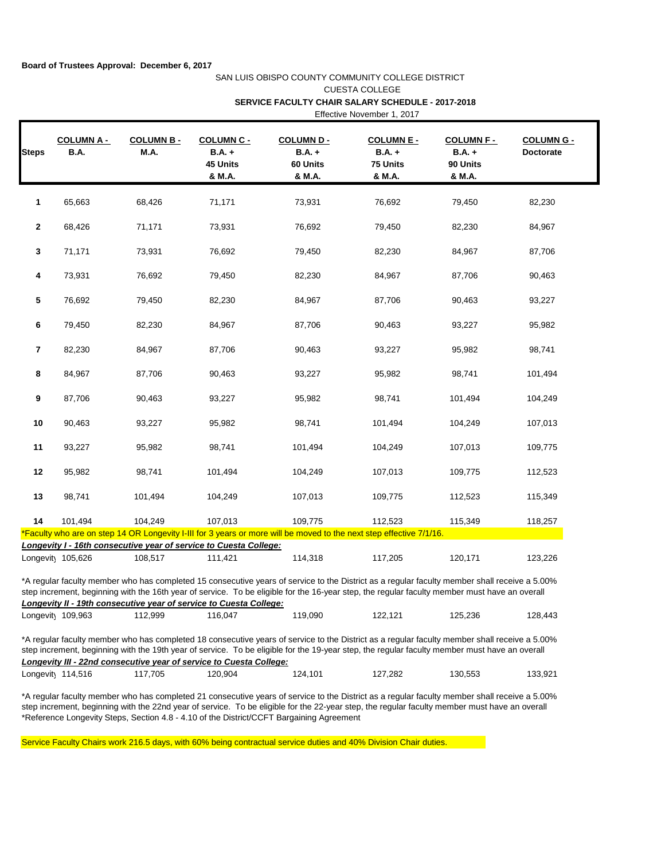## SAN LUIS OBISPO COUNTY COMMUNITY COLLEGE DISTRICT CUESTA COLLEGE  **SERVICE FACULTY CHAIR SALARY SCHEDULE - 2017-2018** Effective November 1, 2017

|              | <b>COLUMN A -</b> | <b>COLUMN B-</b> | <b>COLUMN C -</b>                                                            | <b>COLUMN D-</b>               | <b>COLUMN E -</b>                                                                                                                                                                                                                                                                              | <b>COLUMN F-</b>                    | <b>COLUMN G -</b> |
|--------------|-------------------|------------------|------------------------------------------------------------------------------|--------------------------------|------------------------------------------------------------------------------------------------------------------------------------------------------------------------------------------------------------------------------------------------------------------------------------------------|-------------------------------------|-------------------|
| <b>Steps</b> | <b>B.A.</b>       | M.A.             | <b>B.A.</b> +<br>45 Units<br>& M.A.                                          | $B.A. +$<br>60 Units<br>& M.A. | $B.A. +$<br>75 Units<br>& M.A.                                                                                                                                                                                                                                                                 | <b>B.A.</b> +<br>90 Units<br>& M.A. | Doctorate         |
| 1            | 65,663            | 68,426           | 71,171                                                                       | 73,931                         | 76,692                                                                                                                                                                                                                                                                                         | 79,450                              | 82,230            |
| 2            | 68,426            | 71,171           | 73,931                                                                       | 76,692                         | 79,450                                                                                                                                                                                                                                                                                         | 82,230                              | 84,967            |
| 3            | 71,171            | 73,931           | 76,692                                                                       | 79,450                         | 82,230                                                                                                                                                                                                                                                                                         | 84,967                              | 87,706            |
| 4            | 73,931            | 76,692           | 79,450                                                                       | 82,230                         | 84,967                                                                                                                                                                                                                                                                                         | 87,706                              | 90,463            |
| 5            | 76,692            | 79,450           | 82,230                                                                       | 84,967                         | 87,706                                                                                                                                                                                                                                                                                         | 90,463                              | 93,227            |
| 6            | 79,450            | 82,230           | 84,967                                                                       | 87,706                         | 90,463                                                                                                                                                                                                                                                                                         | 93,227                              | 95,982            |
| 7            | 82,230            | 84,967           | 87,706                                                                       | 90,463                         | 93,227                                                                                                                                                                                                                                                                                         | 95,982                              | 98,741            |
| 8            | 84,967            | 87,706           | 90,463                                                                       | 93,227                         | 95,982                                                                                                                                                                                                                                                                                         | 98,741                              | 101,494           |
| 9            | 87,706            | 90,463           | 93,227                                                                       | 95,982                         | 98,741                                                                                                                                                                                                                                                                                         | 101,494                             | 104,249           |
| 10           | 90,463            | 93,227           | 95,982                                                                       | 98,741                         | 101,494                                                                                                                                                                                                                                                                                        | 104,249                             | 107,013           |
| 11           | 93,227            | 95,982           | 98,741                                                                       | 101,494                        | 104,249                                                                                                                                                                                                                                                                                        | 107,013                             | 109,775           |
| 12           | 95,982            | 98,741           | 101,494                                                                      | 104,249                        | 107,013                                                                                                                                                                                                                                                                                        | 109,775                             | 112,523           |
| 13           | 98,741            | 101,494          | 104,249                                                                      | 107,013                        | 109,775                                                                                                                                                                                                                                                                                        | 112,523                             | 115,349           |
| 14           | 101,494           | 104,249          | 107,013                                                                      | 109,775                        | 112,523                                                                                                                                                                                                                                                                                        | 115,349                             | 118,257           |
|              |                   |                  |                                                                              |                                | *Faculty who are on step 14 OR Longevity I-III for 3 years or more will be moved to the next step effective 7/1/16.                                                                                                                                                                            |                                     |                   |
|              | Longevity 105,626 | 108,517          | Longevity I - 16th consecutive year of service to Cuesta College:<br>111,421 | 114,318                        | 117,205                                                                                                                                                                                                                                                                                        | 120,171                             | 123,226           |
|              |                   |                  | Longevity II - 19th consecutive year of service to Cuesta College:           |                                | *A regular faculty member who has completed 15 consecutive years of service to the District as a regular faculty member shall receive a 5.00%<br>step increment, beginning with the 16th year of service. To be eligible for the 16-year step, the regular faculty member must have an overall |                                     |                   |
|              |                   |                  |                                                                              |                                | 122,121                                                                                                                                                                                                                                                                                        | 125,236                             |                   |

\*Reference Longevity Steps, Section 4.8 - 4.10 of the District/CCFT Bargaining Agreement \*A regular faculty member who has completed 21 consecutive years of service to the District as a regular faculty member shall receive a 5.00% step increment, beginning with the 22nd year of service. To be eligible for the 22-year step, the regular faculty member must have an overall

Service Faculty Chairs work 216.5 days, with 60% being contractual service duties and 40% Division Chair duties.